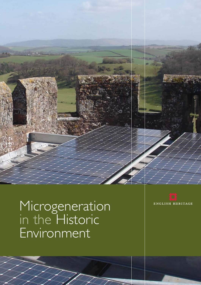

# Microgeneration in the Historic Environment

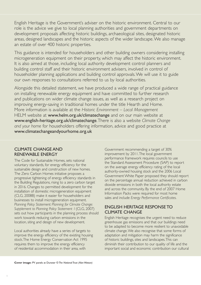English Heritage is the Government's adviser on the historic environment. Central to our role is the advice we give to local planning authorities and government departments on development proposals affecting historic buildings, archaeological sites, designated historic areas, designed landscapes and the historic aspects of the wider landscape.We also manage an estate of over 400 historic properties.

This guidance is intended for householders and other building owners considering installing microgeneration equipment on their property, which may affect the historic environment. It is also aimed at those, including local authority development control planners and building control staff and their historic environment advisers, involved in control of householder planning applications and building control approvals.We will use it to guide our own responses to consultations referred to us by local authorities.

Alongside this detailed statement, we have produced a wide range of practical guidance on installing renewable energy equipment and have committed to further research and publications on wider climate change issues, as well as a research project on improving energy-saving in traditional homes under the title Hearth and Home. More information is available at the *Historic Environment – Local Management* HELM website at www.helm.org.uk/climatechange and on our main website at www.english-heritage.org.uk/climatechange.There is also a website *Climate Change and your home* for householders offering information, advice and good practice at www.climatechangeandyourhome.org.uk

## CLIMATE CHANGE AND RENEWABLE ENERGY

The Code for Sustainable Homes, sets national voluntary standards, for energy efficiency for the sustainable design and construction of new homes. The Zero Carbon Homes initiative proposes a progressive tightening of energy efficiency standards in the Building Regulations, rising to a zero carbon target in 2016. Changes to permitted development for the installation of domestic microgeneration equipment (CLG, 2008B) make it easier for householders and businesses to install microgeneration equipment. *Planning Policy Statement: Planning for Climate Change: Supplement to Planning Policy Statement 1*(CLG, 2007) sets out how participants in the planning process should work towards reducing carbon emissions in the location, siting and design of new development.

Local authorities already have a series of targets to improve the energy efficiency of the existing housing stock.The Home Energy Conservation Act 1995 requires them to improve the energy efficiency of residential accommodation in their area, with

Government recommending a target of 30% improvement by 2011.The local government performance framework requires councils to use the Standard Assessment Procedure (SAP) to report on the average energy efficiency rating of the local authority-owned housing stock and the 2006 Local Government White Paper proposed they should report on the percentage annual reduction achieved in carbon dioxide emissions in both the local authority estate and across the community. By the end of 2007 Home Information Packs were required for most home sales and include *Energy Performance Certificates*.

# ENGLISH HERITAGE RESPONSE TO CLIMATE CHANGE

English Heritage recognises the urgent need to reduce greenhouse gas emissions and that our buildings need to be adapted to become more resilient to unavoidable climate change.We also recognise that some forms of adaptation and mitigation may harm the significance of historic buildings, sites and landscapes.This can diminish their contribution to our quality of life and the important social and economic contribution our cultural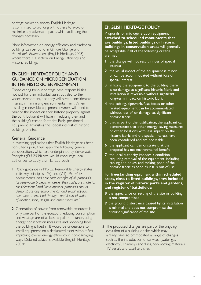heritage makes to society. English Heritage is committed to working with others to avoid or minimise any adverse impacts, while facilitating the changes necessary.

More information on energy efficiency and traditional buildings can be found in *Climate Change and the Historic Environment* (English Heritage, 2008), where there is a section on Energy Efficiency and Historic Buildings.

# ENGLISH HERITAGE POLICY AND GUIDANCE ON MICROGENERATION IN THE HISTORIC ENVIRONMENT

Those caring for our heritage have responsibilities not just for their individual asset but also to the wider environment, and they will have a considerable interest in minimising environmental harm.When installing renewable equipment, owners will need to balance the impact on their historic property against the contribution it will have in reducing their and the building's carbon footprint. Badly positioned equipment diminishes the special interest of historic buildings or sites.

## General Guidance

In assessing applications that English Heritage has been consulted upon, it will apply the following general considerations, which are underpinned by *Conservation Principles (EH 2008)*.We would encourage local authorities to apply a similar approach.

- 1 Policy guidance in PPS 22: Renewable Energy states in its key principles 1(V) and (VIII) *"the wider environmental and economic benefits of all proposals for renewable projects, whatever their scale, are material considerations"* and *"development proposals should demonstrate any environmental and social impacts have been minimised through careful consideration of location, scale, design and other measures".*
- 2 Generation of power from renewable resources is only one part of the equation; reducing consumption and wastage are of at least equal importance, using energy conservation measures and reviewing how the building is lived in. It would be undesirable to install equipment on a designated asset without first improving overall energy efficiency in non-damaging ways. Detailed advice is available (English Heritage 2007b).

# ENGLISH HERITAGE POLICY

Proposals for microgeneration equipment **attached to scheduled monuments that are buildings, listed buildings or historic buildings in conservation areas** will generally be acceptable if all of the following criteria are met:

- **1** the change will not result in loss of special interest
- **2** the visual impact of the equipment is minor or can be accommodated without loss of special interest
- **3** in fixing the equipment to the building there is no damage to significant historic fabric and installation is reversible without significant long-term impact on historic fabric
- **4** the cabling, pipework, fuse boxes or other related equipment can be accommodated without loss of, or damage to, significant historic fabric
- **5** that as part of the justification, the applicant can demonstrate that other energy-saving measures or other locations with less impact on the historic fabric and the special interest have been considered and are not viable
- **6** the applicant can demonstrate that the proposal has net environmental benefit
- **7** the local authority imposes a condition requiring removal of the equipment, including cabling and boxes, and making good of the historic fabric as soon as it falls out of use

#### For **freestanding** equipment **within scheduled areas, close to listed buildings, sites included in the register of historic parks and gardens, and register of battlefields:**

- **8** the appearance or setting of the site or building is not compromised
- **9** the ground disturbance caused by its installation is minimal and does not compromise the historic significance of the site
- 3 The proposed changes are part of the ongoing evolution of a building or site, which may already have accommodated a range of changes such as the introduction of services (water, gas, electricity), chimneys and flues, new roofing materials, TV aerials and satellite dishes.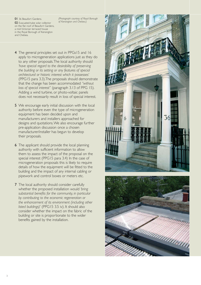01 36 Beaufort Gardens. 02 Evacuated-tube solar collector on the flat roof of Beaufort Gardens, a mid-Victorian terraced house in the Royal Borough of Kensington and Chelsea.

*(Photograph courtesy of Royal Borough of Kensington and Chelsea.)*

- 4 The general principles set out in PPGs15 and 16 apply to microgeneration applications just as they do to any other proposals.The local authority should *'have special regard to the desirability of preserving the building or its setting or any features of special architectural or historic interest which it possesses'* (PPG15 para 3.3).The proposals should demonstrate that the change has been accommodated *"without loss of special interest"* (paragraph 3.13 of PPG 15). Adding a wind turbine, or photo-voltaic panels does not necessarily result in loss of special interest.
- 5 We encourage early initial discussion with the local authority before even the type of microgeneration equipment has been decided upon and manufacturers and installers approached for designs and quotations.We also encourage further pre-application discussion once a chosen manufacturer/installer has begun to develop their proposals.
- 6 The applicant should provide the local planning authority with sufficient information to allow them to assess the impact of the proposal on the special interest (PPG15 para 3.4) In the case of microgeneration proposals this is likely to require details of how the equipment will be fitted to the building and the impact of any internal cabling or pipework and control boxes or meters etc.
- **7** The local authority should consider carefully whether the proposed installation would *'bring substantial benefits for the community, in particular by contributing to the economic regeneration or the enhancement of its environment (including other listed buildings)'* (PPG15 3.5 iv). It should also consider whether the impact on the fabric of the building or site is proportionate to the wider benefits gained by the installation.



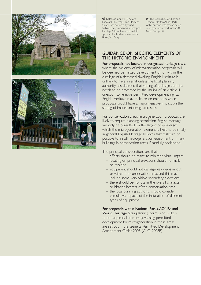



03 Dalehead Church (Bradford Diocese).The chapel and Heritage Centre are powered by wind turbine.The graveyard is a Biological Heritage Site with more than 130 species of upland meadow plants. *© Mr John Parry*

04 The Colourhouse Children's Theatre, Merton Abbey Mills, with London's first ground-based new-generation wind turbine. *© Green Energy UK*

### GUIDANCE ON SPECIFIC ELEMENTS OF THE HISTORIC ENVIRONMENT

For proposals not located in designated heritage sites , where the majority of microgeneration proposals will be deemed permitted development on or within the curtilage of a detached dwelling, English Heritage is unlikely to have a remit unless the local planning authority has deemed that setting of a designated site needs to be protected by the issuing of an Article 4 direction to remove permitted development rights. English Heritage may make representations where proposals would have a major negative impact on the setting of important designated sites.

For conservation areas microgeneration proposals are likely to require planning permission. English Heritage will only be consulted on the largest proposals (of which the microgeneration element is likely to be small). In general English Heritage believes that it should be possible to install microgeneration equipment on many buildings in conservation areas if carefully positioned.

The principal considerations are that:

- efforts should be made to minimise visual impact
- locating on principal elevations should normally be avoided
- equipment should not damage key views in, out or within the conservation area, and this may include some very visible secondary elevations
- there should be no loss in the overall character or historic interest of the conservation area
- the local planning authority should consider cumulative impacts of the installation of different types of equipment

For proposals within National Parks,AONBs and World Heritage Sites planning permission is likely to be required.The rules governing permitted development for microgeneration in these areas are set out in the General Permitted Development Amendment Order 2008 (CLG, 2008B)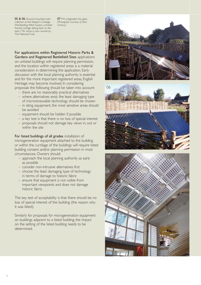05 & 06 Ground-mounted solar collector at the Keeper's Cottage, Woolbeding,West Sussex, a timberframed cottage dating back to the early 17th century, now owned by The National Trust.

07 PVs integrated into glass *(Photograph courtesy of Solar Century)*

For applications within Registered Historic Parks & Gardens and Registered Battlefield Sites applications on unlisted buildings will require planning permission, and the location within registered areas is a material consideration in determining the application. Early discussion with the local planning authority is essential and for the more important registered areas, English Heritage may become involved. In considering proposals the following should be taken into account:

– there are no reasonably practical alternatives

- where alternatives exist, the least damaging type of microrenewable technology should be chosen
- in siting equipment, the most sensitive areas should be avoided
- equipment should be hidden if possible
- a key test is that there is no loss of special interest
- proposals should not damage key views in, out or within the site

For listed buildings of all grades installation of microgeneration equipment attached to the building or within the curtilage of the buildings will require listed building consent and/or planning permission in most circumstances. Owners should:

- approach the local planning authority as early as possible
- consider non-intrusive alternatives first
- choose the least damaging type of technology in terms of damage to historic fabric
- ensure that equipment is not visible from important viewpoints and does not damage historic fabric

The key test of acceptability is that there should be no loss of special interest of the building (the reason why it was listed).

Similarly for proposals for microgeneration equipment on buildings adjacent to a listed building, the impact on the setting of the listed building needs to be determined.







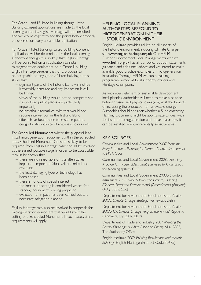For Grade I and II\* listed buildings though Listed Building Consent applications are made to the local planning authority, English Heritage will be consulted, and we would expect to see the points below properly considered for every acceptable application.

For Grade II listed buildings Listed Building Consent applications will be determined by the local planning authority. Although it is unlikely that English Heritage will be consulted on an application to install microgeneration equipment on a Grade II building, English Heritage believes that for a proposal to be acceptable on any grade of listed building it must show that:

- significant parts of the historic fabric will not be irreversibly damaged and any impact on it will be limited
- views of the building would not be compromised (views from public places are particularly important)
- no practical alternatives exist that would not require intervention in the historic fabric
- efforts have been made to lessen impact by design, location, choice of materials, colours etc

For Scheduled Monuments where the proposal is to install microgeneration equipment within the scheduled area, Scheduled Monument Consent is likely to be required from English Heritage, who should be involved at the earliest possible stage. In order to be acceptable, it must be shown that:

- there are no reasonable off site alternatives
- impact on important fabric will be limited and reversible
- the least damaging type of technology has been chosen
- there is no loss of special interest
- the impact on setting is considered where freestanding equipment is being proposed
- evaluation of impact has been carried out and necessary mitigation planned.

English Heritage may also be involved in proposals for microgeneration equipment that would affect the setting of a Scheduled Monument. In such cases, similar requirements will apply.

# HELPING LOCAL PLANNING AUTHORITIES RESPOND TO MICROGENERATION IN THEIR HISTORIC ENVIRONMENT

English Heritage provides advice on all aspects of the historic environment, including Climate Change, see www.english-heritage.org.uk. Our HELM (Historic Environment Local Management) website www.helm.org.uk has all our policy position statements, guidance and additional advice, and we intend to make available good practice examples of microgeneration installation.Through HELM we run a training programme aimed at local authority officers and Heritage Champions.

As with every element of sustainable development, local planning authorities will need to strike a balance between visual and physical damage against the benefits of increasing the production of renewable energy. Authorities should consider whether a Supplementary Planning Document might be appropriate to deal with the issue of microgeneration and in particular how it can be installed in environmentally sensitive areas.

# KEY SOURCES

Communities and Local Government 2007 *Planning Policy Statement: Planning for Climate Change Supplement to PPS1*, CLG

Communities and Local Government 2008a *Planning: A Guide for Householders what you need to know about the planning system*, CLG

Communities and Local Government 2008b *Statutory Instrument 2008 No675 Town and Country Planning (General Permitted Development) (Amendment) (England) Order 2008*, CLG

Department for Environment, Food and Rural Affairs 2007a *Climate Change Strategic Framework*, Defra

Department for Environment, Food and Rural Affairs 2007b *UK Climate Change Programme:Annual Report to Parliament*, July 2007, Defra

Department of Trade and Industry 2007 *Meeting the Energy Challenge:A White Paper on Energy May 2007*, The Stationery Office

English Heritage 2002 *Building Regulations and Historic Buildings*, English Heritage (Product Code 50675)